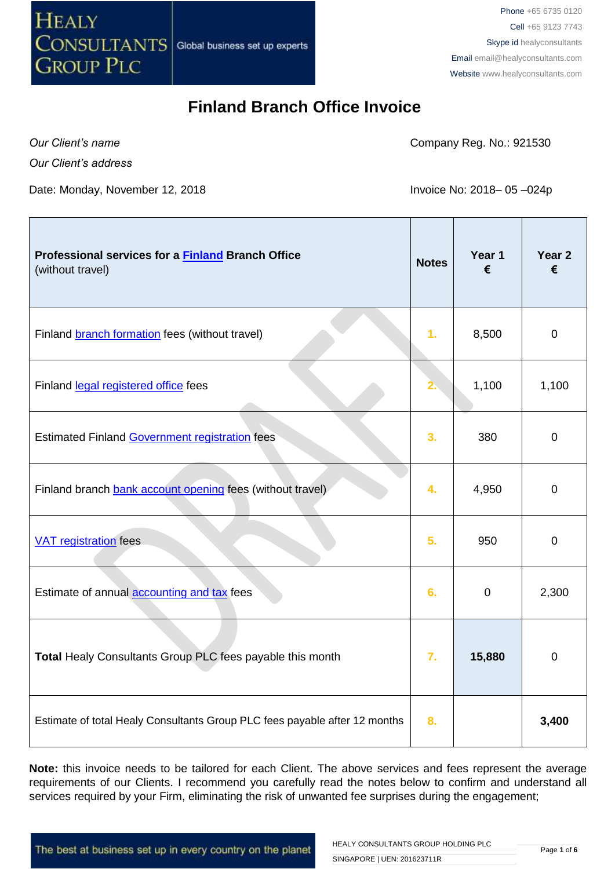

Phone +65 6735 0120 Cell +65 9123 7743 Skype id healyconsultants Email [email@healyconsultants.com](mailto:EMAIL@HEALYCONSULTANTS.COM) Website [www.healyconsultants.com](http://www.healyconsultants.com/)

## **Finland Branch Office Invoice**

*Our Client's name*

Company Reg. No.: 921530

*Our Client's address*

Date: Monday, November 12, 2018 Invoice No: 2018– 05-024p

| Professional services for a Finland Branch Office<br>(without travel)      | <b>Notes</b>     | Year 1<br>€ | Year 2<br>€ |
|----------------------------------------------------------------------------|------------------|-------------|-------------|
| Finland branch formation fees (without travel)                             | 1 <sub>r</sub>   | 8,500       | $\mathbf 0$ |
| Finland legal registered office fees                                       |                  | 1,100       | 1,100       |
| <b>Estimated Finland Government registration fees</b>                      | 3.               | 380         | $\mathbf 0$ |
| Finland branch bank account opening fees (without travel)                  | 4.               | 4,950       | $\mathbf 0$ |
| <b>VAT registration</b> fees                                               | 5.               | 950         | $\mathbf 0$ |
| Estimate of annual accounting and tax fees                                 | 6.               | $\mathbf 0$ | 2,300       |
| Total Healy Consultants Group PLC fees payable this month                  | $\overline{7}$ . | 15,880      | $\mathbf 0$ |
| Estimate of total Healy Consultants Group PLC fees payable after 12 months | 8.               |             | 3,400       |

**Note:** this invoice needs to be tailored for each Client. The above services and fees represent the average requirements of our Clients. I recommend you carefully read the notes below to confirm and understand all services required by your Firm, eliminating the risk of unwanted fee surprises during the engagement;

The best at business set up in every country on the planet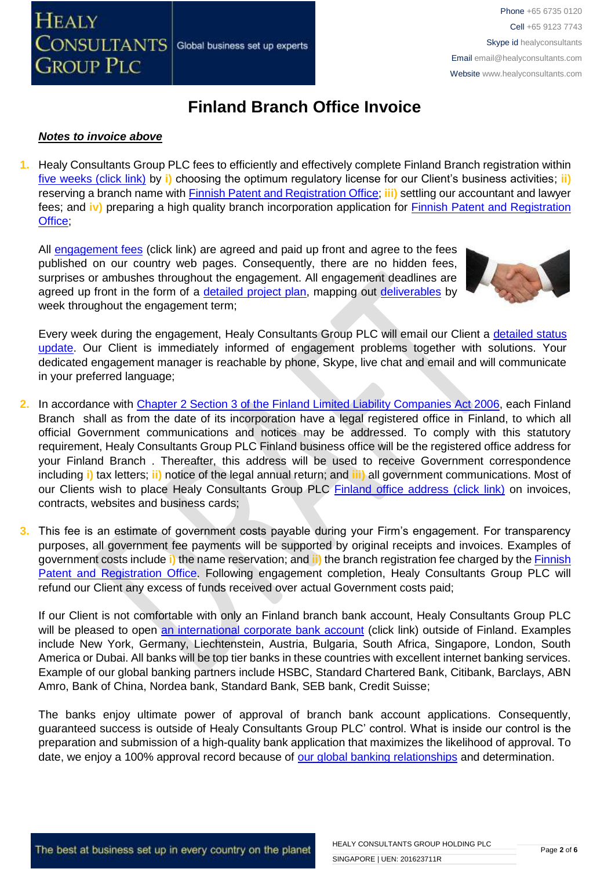## **Finland Branch Office Invoice**

### *Notes to invoice above*

**CONSULTANTS** 

**GROUP PLC** 

**HEALY** 

**1.** Healy Consultants Group PLC fees to efficiently and effectively complete Finland Branch registration within [five weeks \(click link\)](http://www.healyconsultants.com/finland-company-registration/fees-timelines/#timelines) by **i)** choosing the optimum regulatory license for our Client's business activities; **ii)** reserving a branch name with [Finnish Patent and Registration Office;](http://www.prh.fi/en/index.html) **iii)** settling our accountant and lawyer fees; and **iv)** preparing a high quality branch incorporation application for [Finnish Patent and Registration](http://www.prh.fi/en/index.html)  Office:

All [engagement fees](http://www.healyconsultants.com/company-registration-fees/) (click link) are agreed and paid up front and agree to the fees published on our country web pages. Consequently, there are no hidden fees, surprises or ambushes throughout the engagement. All engagement deadlines are agreed up front in the form of a [detailed project plan,](http://www.healyconsultants.com/index-important-links/example-project-plan/) mapping out [deliverables](http://www.healyconsultants.com/deliverables-to-our-clients/) by week throughout the engagement term;

Global business set up experts



Every week during the engagement, Healy Consultants Group PLC will email our Client a [detailed status](http://www.healyconsultants.com/index-important-links/weekly-engagement-status-email/)  [update.](http://www.healyconsultants.com/index-important-links/weekly-engagement-status-email/) Our Client is immediately informed of engagement problems together with solutions. Your dedicated engagement manager is reachable by phone, Skype, live chat and email and will communicate in your preferred language;

- **2.** In accordance with [Chapter 2 Section 3 of the Finland Limited Liability Companies Act 2006,](http://www.finlex.fi/en/laki/kaannokset/2006/en20060624.pdf) each Finland Branch shall as from the date of its incorporation have a legal registered office in Finland, to which all official Government communications and notices may be addressed. To comply with this statutory requirement, Healy Consultants Group PLC Finland business office will be the registered office address for your Finland Branch . Thereafter, this address will be used to receive Government correspondence including **i)** tax letters; **ii)** notice of the legal annual return; and **iii)** all government communications. Most of our Clients wish to place Healy Consultants Group PLC [Finland office address \(click link\)](http://www.healyconsultants.com/virtual-office/) on invoices, contracts, websites and business cards;
- **3.** This fee is an estimate of government costs payable during your Firm's engagement. For transparency purposes, all government fee payments will be supported by original receipts and invoices. Examples of government costs include **i)** the name reservation; and **ii)** the branch registration fee charged by the [Finnish](http://www.prh.fi/en/index.html)  [Patent and Registration Office.](http://www.prh.fi/en/index.html) Following engagement completion, Healy Consultants Group PLC will refund our Client any excess of funds received over actual Government costs paid;

If our Client is not comfortable with only an Finland branch bank account, Healy Consultants Group PLC will be pleased to open [an international corporate bank account](http://www.healyconsultants.com/international-banking/) (click link) outside of Finland. Examples include New York, Germany, Liechtenstein, Austria, Bulgaria, South Africa, Singapore, London, South America or Dubai. All banks will be top tier banks in these countries with excellent internet banking services. Example of our global banking partners include HSBC, Standard Chartered Bank, Citibank, Barclays, ABN Amro, Bank of China, Nordea bank, Standard Bank, SEB bank, Credit Suisse;

The banks enjoy ultimate power of approval of branch bank account applications. Consequently, guaranteed success is outside of Healy Consultants Group PLC' control. What is inside our control is the preparation and submission of a high-quality bank application that maximizes the likelihood of approval. To date, we enjoy a 100% approval record because of [our global banking relationships](http://www.healyconsultants.com/international-banking/corporate-accounts/) and determination.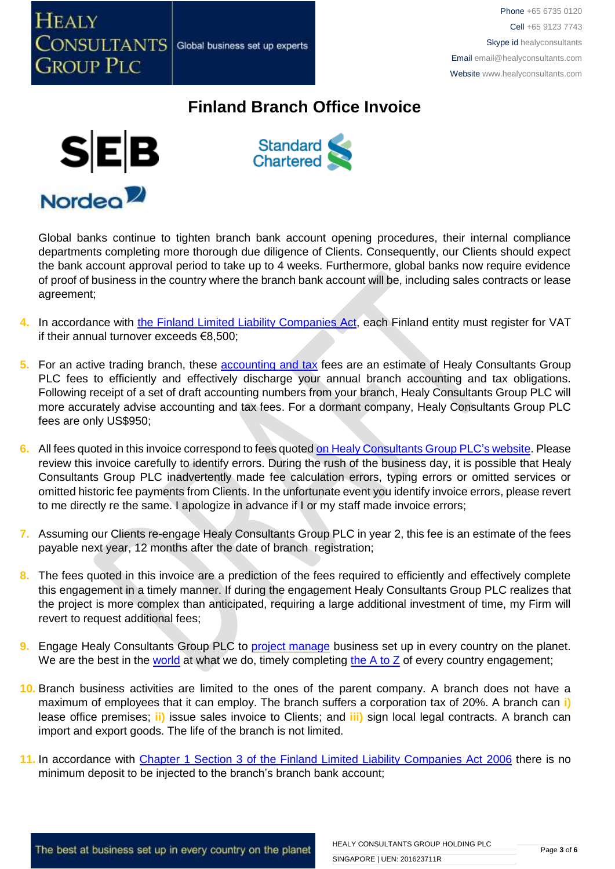

## **Finland Branch Office Invoice**





Global banks continue to tighten branch bank account opening procedures, their internal compliance departments completing more thorough due diligence of Clients. Consequently, our Clients should expect the bank account approval period to take up to 4 weeks. Furthermore, global banks now require evidence of proof of business in the country where the branch bank account will be, including sales contracts or lease agreement;

- 4. In accordance with the Finland [Limited Liability Companies Act,](http://www.finlex.fi/en/laki/kaannokset/2006/en20060624.pdf) each Finland entity must register for VAT if their annual turnover exceeds €8,500;
- **5.** For an active trading branch, these [accounting and tax](http://www.healyconsultants.com/corporate-finance/accounting-and-tax/) fees are an estimate of Healy Consultants Group PLC fees to efficiently and effectively discharge your annual branch accounting and tax obligations. Following receipt of a set of draft accounting numbers from your branch, Healy Consultants Group PLC will more accurately advise accounting and tax fees. For a dormant company, Healy Consultants Group PLC fees are only US\$950;
- **6.** All fees quoted in this invoice correspond to fees quoted [on Healy Consultants Group PLC's](http://www.healyconsultants.com/company-registration-fees/) website. Please review this invoice carefully to identify errors. During the rush of the business day, it is possible that Healy Consultants Group PLC inadvertently made fee calculation errors, typing errors or omitted services or omitted historic fee payments from Clients. In the unfortunate event you identify invoice errors, please revert to me directly re the same. I apologize in advance if I or my staff made invoice errors;
- **7.** Assuming our Clients re-engage Healy Consultants Group PLC in year 2, this fee is an estimate of the fees payable next year, 12 months after the date of branch registration;
- **8.** The fees quoted in this invoice are a prediction of the fees required to efficiently and effectively complete this engagement in a timely manner. If during the engagement Healy Consultants Group PLC realizes that the project is more complex than anticipated, requiring a large additional investment of time, my Firm will revert to request additional fees;
- **9.** Engage Healy Consultants Group PLC to **project manage** business set up in every country on the planet. We are the best in the [world](http://www.healyconsultants.com/best-in-the-world/) at what we do, timely completing [the A to Z](http://www.healyconsultants.com/a-to-z-of-business-set-up/) of every country engagement;
- **10.** Branch business activities are limited to the ones of the parent company. A branch does not have a maximum of employees that it can employ. The branch suffers a corporation tax of 20%. A branch can **i)** lease office premises; **ii)** issue sales invoice to Clients; and **iii)** sign local legal contracts. A branch can import and export goods. The life of the branch is not limited.
- **11.** In accordance with [Chapter 1 Section 3 of the Finland Limited Liability Companies Act 2006](http://www.finlex.fi/en/laki/kaannokset/2006/en20060624.pdf) there is no minimum deposit to be injected to the branch's branch bank account;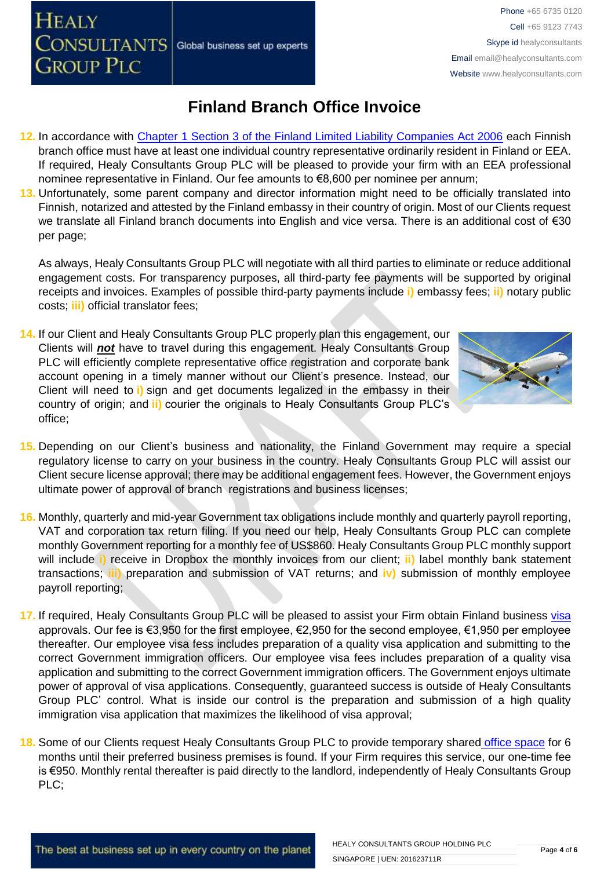**HEALY** 

**13.** Unfortunately, some parent company and director information might need to be officially translated into Finnish, notarized and attested by the Finland embassy in their country of origin. Most of our Clients request we translate all Finland branch documents into English and vice versa. There is an additional cost of €30 per page;

As always, Healy Consultants Group PLC will negotiate with all third parties to eliminate or reduce additional engagement costs. For transparency purposes, all third-party fee payments will be supported by original receipts and invoices. Examples of possible third-party payments include **i)** embassy fees; **ii)** notary public costs; **iii)** official translator fees;

- **14.** If our Client and Healy Consultants Group PLC properly plan this engagement, our Clients will *not* have to travel during this engagement. Healy Consultants Group PLC will efficiently complete representative office registration and corporate bank account opening in a timely manner without our Client's presence. Instead, our Client will need to **i)** sign and get documents legalized in the embassy in their country of origin; and **ii)** courier the originals to Healy Consultants Group PLC's office;
- **15.** Depending on our Client's business and nationality, the Finland Government may require a special regulatory license to carry on your business in the country. Healy Consultants Group PLC will assist our Client secure license approval; there may be additional engagement fees. However, the Government enjoys ultimate power of approval of branch registrations and business licenses;
- **16.** Monthly, quarterly and mid-year Government tax obligations include monthly and quarterly payroll reporting, VAT and corporation tax return filing. If you need our help, Healy Consultants Group PLC can complete monthly Government reporting for a monthly fee of US\$860. Healy Consultants Group PLC monthly support will include **i)** receive in Dropbox the monthly invoices from our client; **ii)** label monthly bank statement transactions; **iii)** preparation and submission of VAT returns; and **iv)** submission of monthly employee payroll reporting;
- **17.** If required, Healy Consultants Group PLC will be pleased to assist your Firm obtain Finland business [visa](http://www.healyconsultants.com/finland-company-registration/formation-support-services/)  approvals. Our fee is €3,950 for the first employee, €2,950 for the second employee, €1,950 per employee thereafter. Our employee visa fess includes preparation of a quality visa application and submitting to the correct Government immigration officers. Our employee visa fees includes preparation of a quality visa application and submitting to the correct Government immigration officers. The Government enjoys ultimate power of approval of visa applications. Consequently, guaranteed success is outside of Healy Consultants Group PLC' control. What is inside our control is the preparation and submission of a high quality immigration visa application that maximizes the likelihood of visa approval;
- **18.** Some of our Clients request Healy Consultants Group PLC to provide temporary shared [office space](http://www.healyconsultants.com/virtual-office/) for 6 months until their preferred business premises is found. If your Firm requires this service, our one-time fee is €950. Monthly rental thereafter is paid directly to the landlord, independently of Healy Consultants Group PLC;

# **Finland Branch Office Invoice**

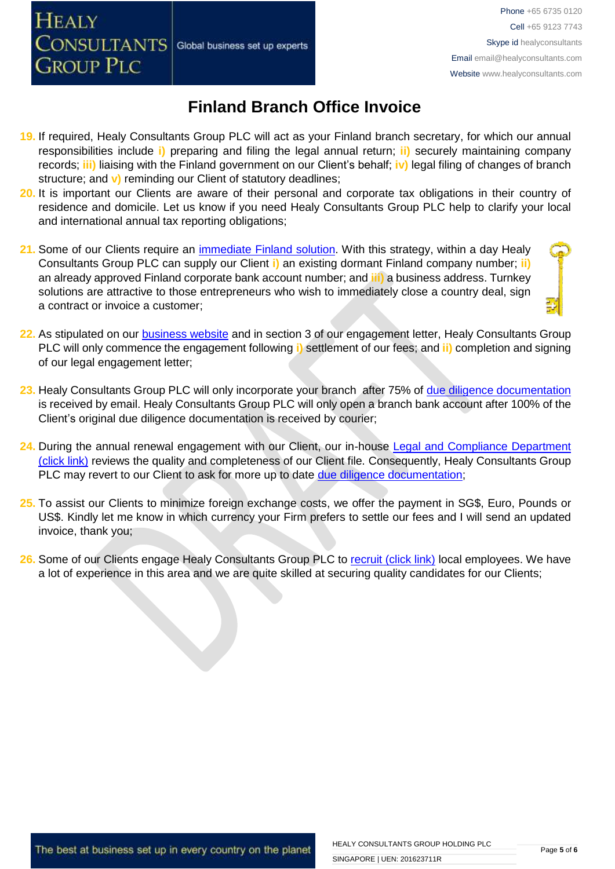**HEALY** 

**GROUP PLC** 

Phone +65 6735 0120 Cell +65 9123 7743 Skype id healyconsultants Email [email@healyconsultants.com](mailto:EMAIL@HEALYCONSULTANTS.COM) Website [www.healyconsultants.com](http://www.healyconsultants.com/)

## **Finland Branch Office Invoice**

- **19.** If required, Healy Consultants Group PLC will act as your Finland branch secretary, for which our annual responsibilities include **i)** preparing and filing the legal annual return; **ii)** securely maintaining company records; **iii)** liaising with the Finland government on our Client's behalf; **iv)** legal filing of changes of branch structure; and **v)** reminding our Client of statutory deadlines;
- **20.** It is important our Clients are aware of their personal and corporate tax obligations in their country of residence and domicile. Let us know if you need Healy Consultants Group PLC help to clarify your local and international annual tax reporting obligations;
- 21. Some of our Clients require an *immediate Finland solution*. With this strategy, within a day Healy Consultants Group PLC can supply our Client **i)** an existing dormant Finland company number; **ii)** an already approved Finland corporate bank account number; and **iii)** a business address. Turnkey solutions are attractive to those entrepreneurs who wish to immediately close a country deal, sign a contract or invoice a customer;
- **22.** As stipulated on our [business website](http://www.healyconsultants.com/) and in section 3 of our engagement letter, Healy Consultants Group PLC will only commence the engagement following **i)** settlement of our fees; and **ii)** completion and signing of our legal engagement letter;
- **23.** Healy Consultants Group PLC will only incorporate your branch after 75% of [due diligence documentation](http://www.healyconsultants.com/due-diligence/) is received by email. Healy Consultants Group PLC will only open a branch bank account after 100% of the Client's original due diligence documentation is received by courier;
- 24. During the annual renewal engagement with our Client, our in-house Legal and Compliance Department [\(click link\)](http://www.healyconsultants.com/about-us/key-personnel/cai-xin-profile/) reviews the quality and completeness of our Client file. Consequently, Healy Consultants Group PLC may revert to our Client to ask for more up to date [due diligence documentation;](http://www.healyconsultants.com/due-diligence/)
- **25.** To assist our Clients to minimize foreign exchange costs, we offer the payment in SG\$, Euro, Pounds or US\$. Kindly let me know in which currency your Firm prefers to settle our fees and I will send an updated invoice, thank you;
- 26. Some of our Clients engage Healy Consultants Group PLC to [recruit \(click link\)](http://www.healyconsultants.com/corporate-outsourcing-services/how-we-help-our-clients-recruit-quality-employees/) local employees. We have a lot of experience in this area and we are quite skilled at securing quality candidates for our Clients;

The best at business set up in every country on the planet